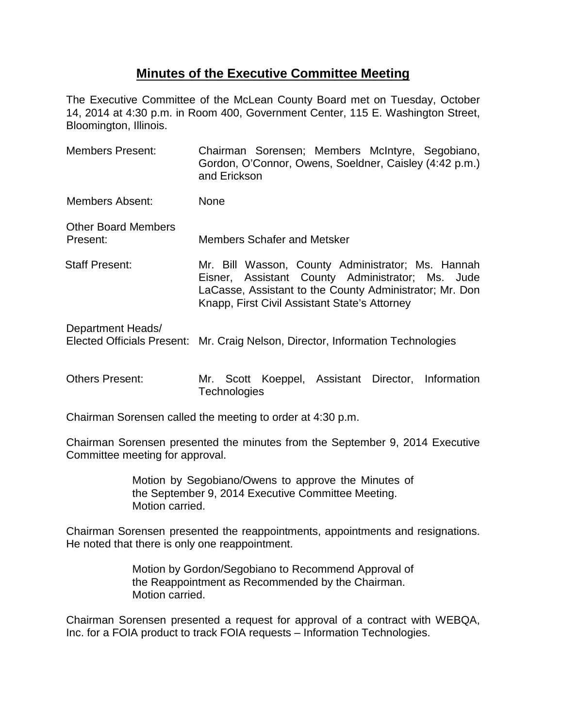# **Minutes of the Executive Committee Meeting**

The Executive Committee of the McLean County Board met on Tuesday, October 14, 2014 at 4:30 p.m. in Room 400, Government Center, 115 E. Washington Street, Bloomington, Illinois.

- Members Present: Chairman Sorensen; Members McIntyre, Segobiano, Gordon, O'Connor, Owens, Soeldner, Caisley (4:42 p.m.) and Erickson Members Absent: None Other Board Members Present: Members Schafer and Metsker Staff Present: Mr. Bill Wasson, County Administrator; Ms. Hannah Eisner, Assistant County Administrator; Ms. Jude LaCasse, Assistant to the County Administrator; Mr. Don Knapp, First Civil Assistant State's Attorney Department Heads/ Elected Officials Present: Mr. Craig Nelson, Director, Information Technologies
- Others Present: Mr. Scott Koeppel, Assistant Director, Information **Technologies**

Chairman Sorensen called the meeting to order at 4:30 p.m.

Chairman Sorensen presented the minutes from the September 9, 2014 Executive Committee meeting for approval.

> Motion by Segobiano/Owens to approve the Minutes of the September 9, 2014 Executive Committee Meeting. Motion carried.

Chairman Sorensen presented the reappointments, appointments and resignations. He noted that there is only one reappointment.

> Motion by Gordon/Segobiano to Recommend Approval of the Reappointment as Recommended by the Chairman. Motion carried.

Chairman Sorensen presented a request for approval of a contract with WEBQA, Inc. for a FOIA product to track FOIA requests – Information Technologies.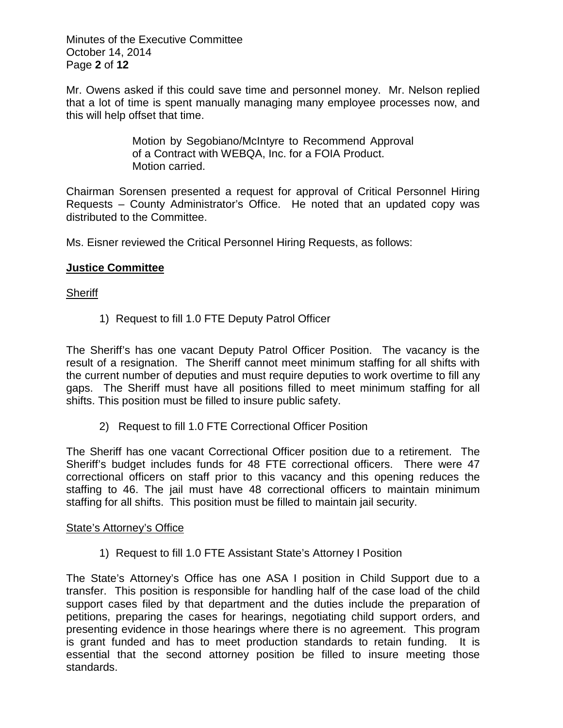Minutes of the Executive Committee October 14, 2014 Page **2** of **12**

Mr. Owens asked if this could save time and personnel money. Mr. Nelson replied that a lot of time is spent manually managing many employee processes now, and this will help offset that time.

> Motion by Segobiano/McIntyre to Recommend Approval of a Contract with WEBQA, Inc. for a FOIA Product. Motion carried.

Chairman Sorensen presented a request for approval of Critical Personnel Hiring Requests – County Administrator's Office. He noted that an updated copy was distributed to the Committee.

Ms. Eisner reviewed the Critical Personnel Hiring Requests, as follows:

### **Justice Committee**

### **Sheriff**

1) Request to fill 1.0 FTE Deputy Patrol Officer

The Sheriff's has one vacant Deputy Patrol Officer Position. The vacancy is the result of a resignation. The Sheriff cannot meet minimum staffing for all shifts with the current number of deputies and must require deputies to work overtime to fill any gaps. The Sheriff must have all positions filled to meet minimum staffing for all shifts. This position must be filled to insure public safety.

2) Request to fill 1.0 FTE Correctional Officer Position

The Sheriff has one vacant Correctional Officer position due to a retirement. The Sheriff's budget includes funds for 48 FTE correctional officers. There were 47 correctional officers on staff prior to this vacancy and this opening reduces the staffing to 46. The jail must have 48 correctional officers to maintain minimum staffing for all shifts. This position must be filled to maintain jail security.

### State's Attorney's Office

1) Request to fill 1.0 FTE Assistant State's Attorney I Position

The State's Attorney's Office has one ASA I position in Child Support due to a transfer. This position is responsible for handling half of the case load of the child support cases filed by that department and the duties include the preparation of petitions, preparing the cases for hearings, negotiating child support orders, and presenting evidence in those hearings where there is no agreement. This program is grant funded and has to meet production standards to retain funding. It is essential that the second attorney position be filled to insure meeting those standards.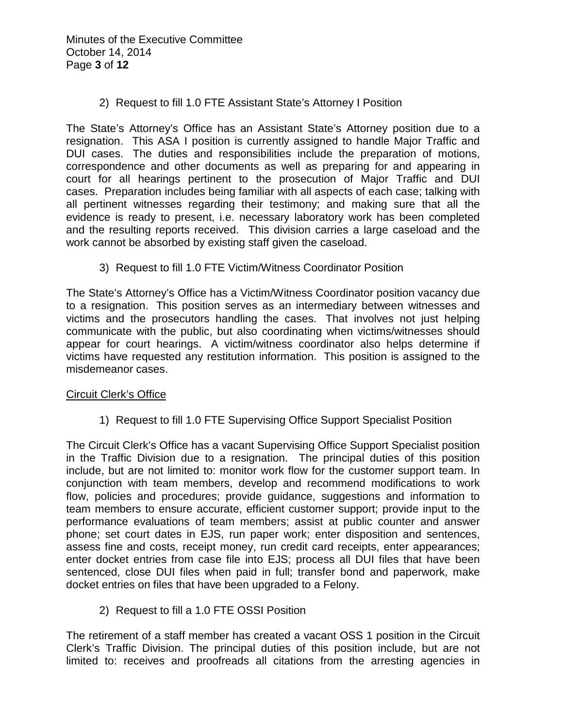Minutes of the Executive Committee October 14, 2014 Page **3** of **12**

2) Request to fill 1.0 FTE Assistant State's Attorney I Position

The State's Attorney's Office has an Assistant State's Attorney position due to a resignation. This ASA I position is currently assigned to handle Major Traffic and DUI cases. The duties and responsibilities include the preparation of motions, correspondence and other documents as well as preparing for and appearing in court for all hearings pertinent to the prosecution of Major Traffic and DUI cases. Preparation includes being familiar with all aspects of each case; talking with all pertinent witnesses regarding their testimony; and making sure that all the evidence is ready to present, i.e. necessary laboratory work has been completed and the resulting reports received. This division carries a large caseload and the work cannot be absorbed by existing staff given the caseload.

3) Request to fill 1.0 FTE Victim/Witness Coordinator Position

The State's Attorney's Office has a Victim/Witness Coordinator position vacancy due to a resignation. This position serves as an intermediary between witnesses and victims and the prosecutors handling the cases. That involves not just helping communicate with the public, but also coordinating when victims/witnesses should appear for court hearings. A victim/witness coordinator also helps determine if victims have requested any restitution information. This position is assigned to the misdemeanor cases.

### Circuit Clerk's Office

1) Request to fill 1.0 FTE Supervising Office Support Specialist Position

The Circuit Clerk's Office has a vacant Supervising Office Support Specialist position in the Traffic Division due to a resignation. The principal duties of this position include, but are not limited to: monitor work flow for the customer support team. In conjunction with team members, develop and recommend modifications to work flow, policies and procedures; provide guidance, suggestions and information to team members to ensure accurate, efficient customer support; provide input to the performance evaluations of team members; assist at public counter and answer phone; set court dates in EJS, run paper work; enter disposition and sentences, assess fine and costs, receipt money, run credit card receipts, enter appearances; enter docket entries from case file into EJS; process all DUI files that have been sentenced, close DUI files when paid in full; transfer bond and paperwork, make docket entries on files that have been upgraded to a Felony.

2) Request to fill a 1.0 FTE OSSI Position

The retirement of a staff member has created a vacant OSS 1 position in the Circuit Clerk's Traffic Division. The principal duties of this position include, but are not limited to: receives and proofreads all citations from the arresting agencies in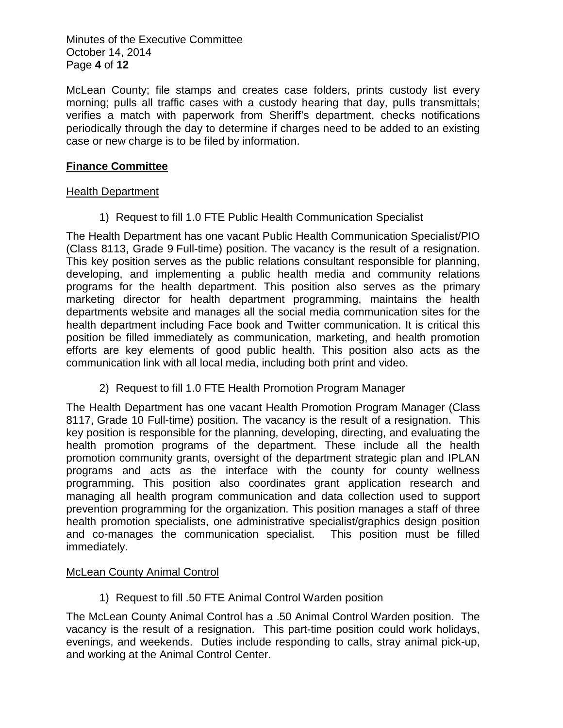Minutes of the Executive Committee October 14, 2014 Page **4** of **12**

McLean County; file stamps and creates case folders, prints custody list every morning; pulls all traffic cases with a custody hearing that day, pulls transmittals; verifies a match with paperwork from Sheriff's department, checks notifications periodically through the day to determine if charges need to be added to an existing case or new charge is to be filed by information.

## **Finance Committee**

### **Health Department**

1) Request to fill 1.0 FTE Public Health Communication Specialist

The Health Department has one vacant Public Health Communication Specialist/PIO (Class 8113, Grade 9 Full-time) position. The vacancy is the result of a resignation. This key position serves as the public relations consultant responsible for planning, developing, and implementing a public health media and community relations programs for the health department. This position also serves as the primary marketing director for health department programming, maintains the health departments website and manages all the social media communication sites for the health department including Face book and Twitter communication. It is critical this position be filled immediately as communication, marketing, and health promotion efforts are key elements of good public health. This position also acts as the communication link with all local media, including both print and video.

2) Request to fill 1.0 FTE Health Promotion Program Manager

The Health Department has one vacant Health Promotion Program Manager (Class 8117, Grade 10 Full-time) position. The vacancy is the result of a resignation. This key position is responsible for the planning, developing, directing, and evaluating the health promotion programs of the department. These include all the health promotion community grants, oversight of the department strategic plan and IPLAN programs and acts as the interface with the county for county wellness programming. This position also coordinates grant application research and managing all health program communication and data collection used to support prevention programming for the organization. This position manages a staff of three health promotion specialists, one administrative specialist/graphics design position and co-manages the communication specialist. This position must be filled immediately.

### McLean County Animal Control

1) Request to fill .50 FTE Animal Control Warden position

The McLean County Animal Control has a .50 Animal Control Warden position. The vacancy is the result of a resignation. This part-time position could work holidays, evenings, and weekends. Duties include responding to calls, stray animal pick-up, and working at the Animal Control Center.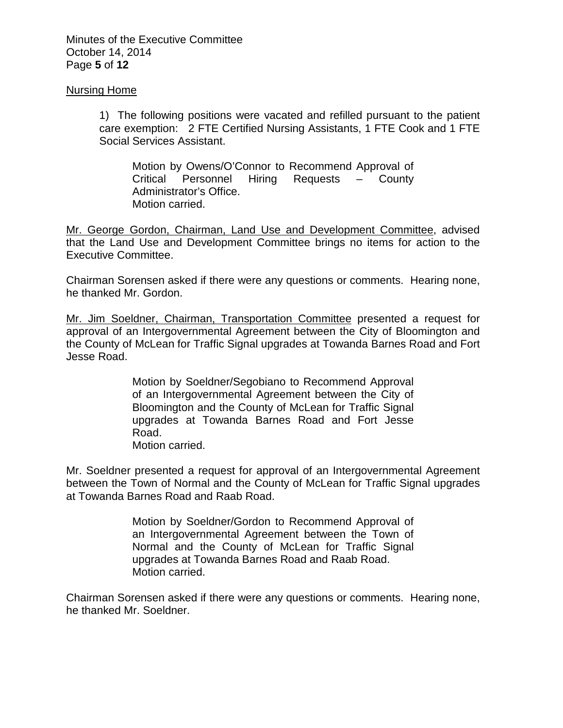Minutes of the Executive Committee October 14, 2014 Page **5** of **12**

#### Nursing Home

1) The following positions were vacated and refilled pursuant to the patient care exemption: 2 FTE Certified Nursing Assistants, 1 FTE Cook and 1 FTE Social Services Assistant.

Motion by Owens/O'Connor to Recommend Approval of Critical Personnel Hiring Requests – County Administrator's Office. Motion carried.

Mr. George Gordon, Chairman, Land Use and Development Committee, advised that the Land Use and Development Committee brings no items for action to the Executive Committee.

Chairman Sorensen asked if there were any questions or comments. Hearing none, he thanked Mr. Gordon.

Mr. Jim Soeldner, Chairman, Transportation Committee presented a request for approval of an Intergovernmental Agreement between the City of Bloomington and the County of McLean for Traffic Signal upgrades at Towanda Barnes Road and Fort Jesse Road.

> Motion by Soeldner/Segobiano to Recommend Approval of an Intergovernmental Agreement between the City of Bloomington and the County of McLean for Traffic Signal upgrades at Towanda Barnes Road and Fort Jesse Road.

Motion carried.

Mr. Soeldner presented a request for approval of an Intergovernmental Agreement between the Town of Normal and the County of McLean for Traffic Signal upgrades at Towanda Barnes Road and Raab Road.

> Motion by Soeldner/Gordon to Recommend Approval of an Intergovernmental Agreement between the Town of Normal and the County of McLean for Traffic Signal upgrades at Towanda Barnes Road and Raab Road. Motion carried.

Chairman Sorensen asked if there were any questions or comments. Hearing none, he thanked Mr. Soeldner.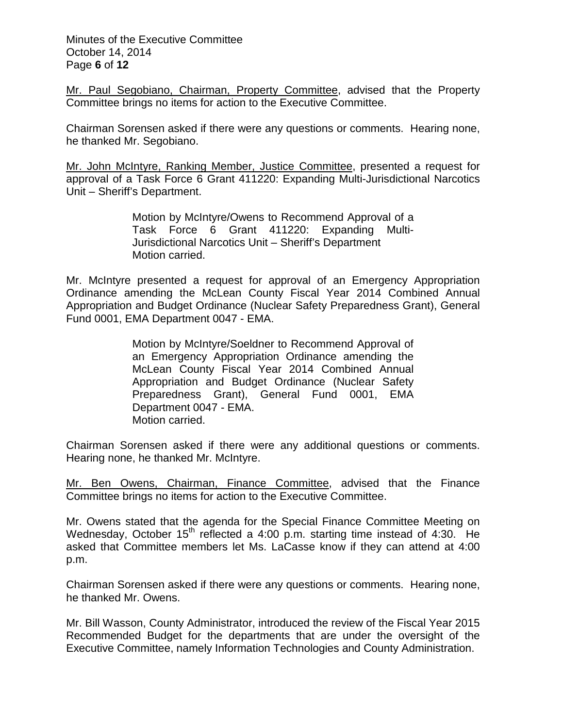Minutes of the Executive Committee October 14, 2014 Page **6** of **12**

Mr. Paul Segobiano, Chairman, Property Committee, advised that the Property Committee brings no items for action to the Executive Committee.

Chairman Sorensen asked if there were any questions or comments. Hearing none, he thanked Mr. Segobiano.

Mr. John McIntyre, Ranking Member, Justice Committee, presented a request for approval of a Task Force 6 Grant 411220: Expanding Multi-Jurisdictional Narcotics Unit – Sheriff's Department.

> Motion by McIntyre/Owens to Recommend Approval of a Task Force 6 Grant 411220: Expanding Multi-Jurisdictional Narcotics Unit – Sheriff's Department Motion carried.

Mr. McIntyre presented a request for approval of an Emergency Appropriation Ordinance amending the McLean County Fiscal Year 2014 Combined Annual Appropriation and Budget Ordinance (Nuclear Safety Preparedness Grant), General Fund 0001, EMA Department 0047 - EMA.

> Motion by McIntyre/Soeldner to Recommend Approval of an Emergency Appropriation Ordinance amending the McLean County Fiscal Year 2014 Combined Annual Appropriation and Budget Ordinance (Nuclear Safety Preparedness Grant), General Fund 0001, EMA Department 0047 - EMA. Motion carried.

Chairman Sorensen asked if there were any additional questions or comments. Hearing none, he thanked Mr. McIntyre.

Mr. Ben Owens, Chairman, Finance Committee, advised that the Finance Committee brings no items for action to the Executive Committee.

Mr. Owens stated that the agenda for the Special Finance Committee Meeting on Wednesday, October 15<sup>th</sup> reflected a 4:00 p.m. starting time instead of 4:30. He asked that Committee members let Ms. LaCasse know if they can attend at 4:00 p.m.

Chairman Sorensen asked if there were any questions or comments. Hearing none, he thanked Mr. Owens.

Mr. Bill Wasson, County Administrator, introduced the review of the Fiscal Year 2015 Recommended Budget for the departments that are under the oversight of the Executive Committee, namely Information Technologies and County Administration.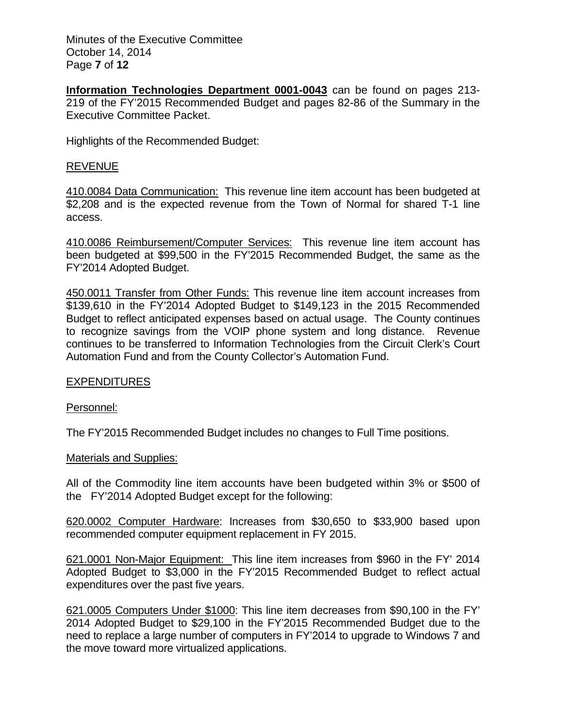Minutes of the Executive Committee October 14, 2014 Page **7** of **12**

**Information Technologies Department 0001-0043** can be found on pages 213- 219 of the FY'2015 Recommended Budget and pages 82-86 of the Summary in the Executive Committee Packet.

Highlights of the Recommended Budget:

### REVENUE

410.0084 Data Communication: This revenue line item account has been budgeted at \$2,208 and is the expected revenue from the Town of Normal for shared T-1 line access.

410.0086 Reimbursement/Computer Services: This revenue line item account has been budgeted at \$99,500 in the FY'2015 Recommended Budget, the same as the FY'2014 Adopted Budget.

450.0011 Transfer from Other Funds: This revenue line item account increases from \$139,610 in the FY'2014 Adopted Budget to \$149,123 in the 2015 Recommended Budget to reflect anticipated expenses based on actual usage. The County continues to recognize savings from the VOIP phone system and long distance. Revenue continues to be transferred to Information Technologies from the Circuit Clerk's Court Automation Fund and from the County Collector's Automation Fund.

#### EXPENDITURES

#### Personnel:

The FY'2015 Recommended Budget includes no changes to Full Time positions.

#### Materials and Supplies:

All of the Commodity line item accounts have been budgeted within 3% or \$500 of the FY'2014 Adopted Budget except for the following:

620.0002 Computer Hardware: Increases from \$30,650 to \$33,900 based upon recommended computer equipment replacement in FY 2015.

621.0001 Non-Major Equipment: This line item increases from \$960 in the FY' 2014 Adopted Budget to \$3,000 in the FY'2015 Recommended Budget to reflect actual expenditures over the past five years.

621.0005 Computers Under \$1000: This line item decreases from \$90,100 in the FY' 2014 Adopted Budget to \$29,100 in the FY'2015 Recommended Budget due to the need to replace a large number of computers in FY'2014 to upgrade to Windows 7 and the move toward more virtualized applications.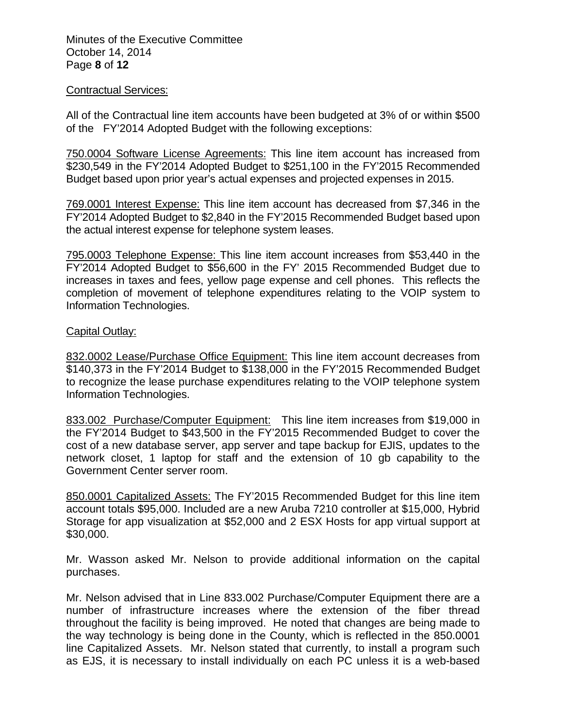Minutes of the Executive Committee October 14, 2014 Page **8** of **12**

#### Contractual Services:

All of the Contractual line item accounts have been budgeted at 3% of or within \$500 of the FY'2014 Adopted Budget with the following exceptions:

750.0004 Software License Agreements: This line item account has increased from \$230,549 in the FY'2014 Adopted Budget to \$251,100 in the FY'2015 Recommended Budget based upon prior year's actual expenses and projected expenses in 2015.

769.0001 Interest Expense: This line item account has decreased from \$7,346 in the FY'2014 Adopted Budget to \$2,840 in the FY'2015 Recommended Budget based upon the actual interest expense for telephone system leases.

795.0003 Telephone Expense: This line item account increases from \$53,440 in the FY'2014 Adopted Budget to \$56,600 in the FY' 2015 Recommended Budget due to increases in taxes and fees, yellow page expense and cell phones. This reflects the completion of movement of telephone expenditures relating to the VOIP system to Information Technologies.

### Capital Outlay:

832.0002 Lease/Purchase Office Equipment: This line item account decreases from \$140,373 in the FY'2014 Budget to \$138,000 in the FY'2015 Recommended Budget to recognize the lease purchase expenditures relating to the VOIP telephone system Information Technologies.

833.002 Purchase/Computer Equipment: This line item increases from \$19,000 in the FY'2014 Budget to \$43,500 in the FY'2015 Recommended Budget to cover the cost of a new database server, app server and tape backup for EJIS, updates to the network closet, 1 laptop for staff and the extension of 10 gb capability to the Government Center server room.

850.0001 Capitalized Assets: The FY'2015 Recommended Budget for this line item account totals \$95,000. Included are a new Aruba 7210 controller at \$15,000, Hybrid Storage for app visualization at \$52,000 and 2 ESX Hosts for app virtual support at \$30,000.

Mr. Wasson asked Mr. Nelson to provide additional information on the capital purchases.

Mr. Nelson advised that in Line 833.002 Purchase/Computer Equipment there are a number of infrastructure increases where the extension of the fiber thread throughout the facility is being improved. He noted that changes are being made to the way technology is being done in the County, which is reflected in the 850.0001 line Capitalized Assets. Mr. Nelson stated that currently, to install a program such as EJS, it is necessary to install individually on each PC unless it is a web-based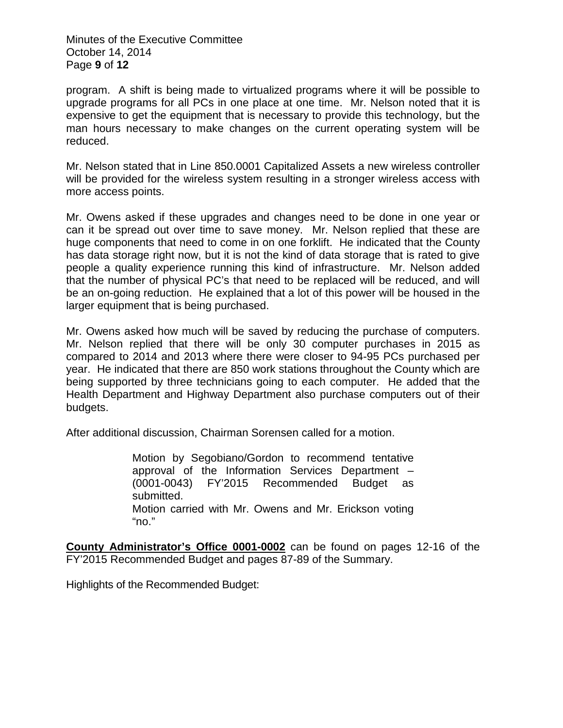Minutes of the Executive Committee October 14, 2014 Page **9** of **12**

program. A shift is being made to virtualized programs where it will be possible to upgrade programs for all PCs in one place at one time. Mr. Nelson noted that it is expensive to get the equipment that is necessary to provide this technology, but the man hours necessary to make changes on the current operating system will be reduced.

Mr. Nelson stated that in Line 850.0001 Capitalized Assets a new wireless controller will be provided for the wireless system resulting in a stronger wireless access with more access points.

Mr. Owens asked if these upgrades and changes need to be done in one year or can it be spread out over time to save money. Mr. Nelson replied that these are huge components that need to come in on one forklift. He indicated that the County has data storage right now, but it is not the kind of data storage that is rated to give people a quality experience running this kind of infrastructure. Mr. Nelson added that the number of physical PC's that need to be replaced will be reduced, and will be an on-going reduction. He explained that a lot of this power will be housed in the larger equipment that is being purchased.

Mr. Owens asked how much will be saved by reducing the purchase of computers. Mr. Nelson replied that there will be only 30 computer purchases in 2015 as compared to 2014 and 2013 where there were closer to 94-95 PCs purchased per year. He indicated that there are 850 work stations throughout the County which are being supported by three technicians going to each computer. He added that the Health Department and Highway Department also purchase computers out of their budgets.

After additional discussion, Chairman Sorensen called for a motion.

Motion by Segobiano/Gordon to recommend tentative approval of the Information Services Department – (0001-0043) FY'2015 Recommended Budget as submitted. Motion carried with Mr. Owens and Mr. Erickson voting "no."

**County Administrator's Office 0001-0002** can be found on pages 12-16 of the FY'2015 Recommended Budget and pages 87-89 of the Summary.

Highlights of the Recommended Budget: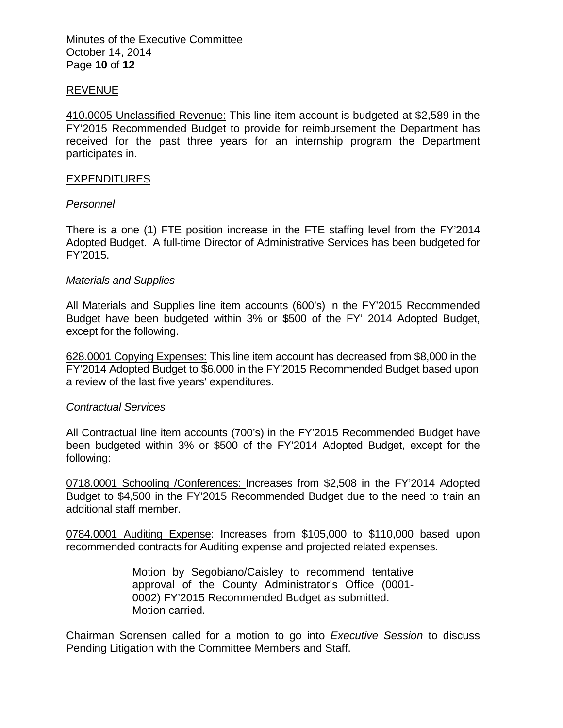Minutes of the Executive Committee October 14, 2014 Page **10** of **12**

#### REVENUE

410.0005 Unclassified Revenue: This line item account is budgeted at \$2,589 in the FY'2015 Recommended Budget to provide for reimbursement the Department has received for the past three years for an internship program the Department participates in.

#### **EXPENDITURES**

#### *Personnel*

There is a one (1) FTE position increase in the FTE staffing level from the FY'2014 Adopted Budget. A full-time Director of Administrative Services has been budgeted for FY'2015.

#### *Materials and Supplies*

All Materials and Supplies line item accounts (600's) in the FY'2015 Recommended Budget have been budgeted within 3% or \$500 of the FY' 2014 Adopted Budget, except for the following.

628.0001 Copying Expenses: This line item account has decreased from \$8,000 in the FY'2014 Adopted Budget to \$6,000 in the FY'2015 Recommended Budget based upon a review of the last five years' expenditures.

#### *Contractual Services*

All Contractual line item accounts (700's) in the FY'2015 Recommended Budget have been budgeted within 3% or \$500 of the FY'2014 Adopted Budget, except for the following:

0718.0001 Schooling /Conferences: Increases from \$2,508 in the FY'2014 Adopted Budget to \$4,500 in the FY'2015 Recommended Budget due to the need to train an additional staff member.

0784.0001 Auditing Expense: Increases from \$105,000 to \$110,000 based upon recommended contracts for Auditing expense and projected related expenses.

> Motion by Segobiano/Caisley to recommend tentative approval of the County Administrator's Office (0001- 0002) FY'2015 Recommended Budget as submitted. Motion carried.

Chairman Sorensen called for a motion to go into *Executive Session* to discuss Pending Litigation with the Committee Members and Staff.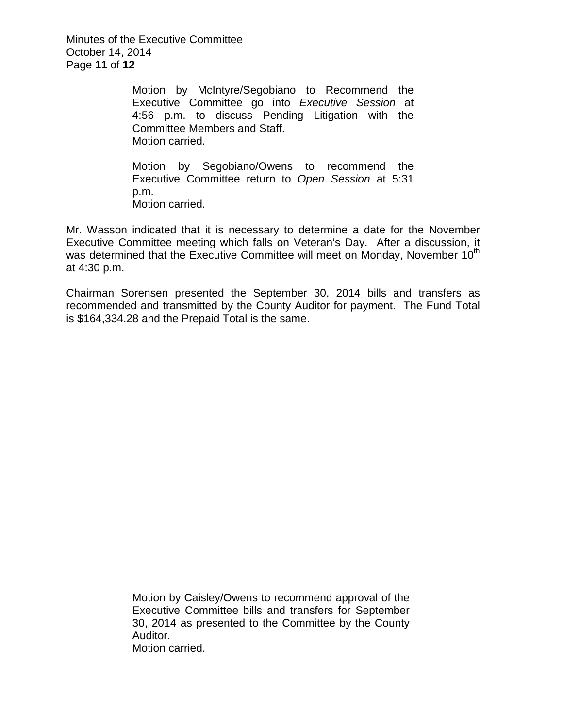Minutes of the Executive Committee October 14, 2014 Page **11** of **12**

> Motion by McIntyre/Segobiano to Recommend the Executive Committee go into *Executive Session* at 4:56 p.m. to discuss Pending Litigation with the Committee Members and Staff. Motion carried.

> Motion by Segobiano/Owens to recommend the Executive Committee return to *Open Session* at 5:31 p.m. Motion carried.

Mr. Wasson indicated that it is necessary to determine a date for the November Executive Committee meeting which falls on Veteran's Day. After a discussion, it was determined that the Executive Committee will meet on Monday, November  $10<sup>th</sup>$ at 4:30 p.m.

Chairman Sorensen presented the September 30, 2014 bills and transfers as recommended and transmitted by the County Auditor for payment. The Fund Total is \$164,334.28 and the Prepaid Total is the same.

> Motion by Caisley/Owens to recommend approval of the Executive Committee bills and transfers for September 30, 2014 as presented to the Committee by the County Auditor. Motion carried.